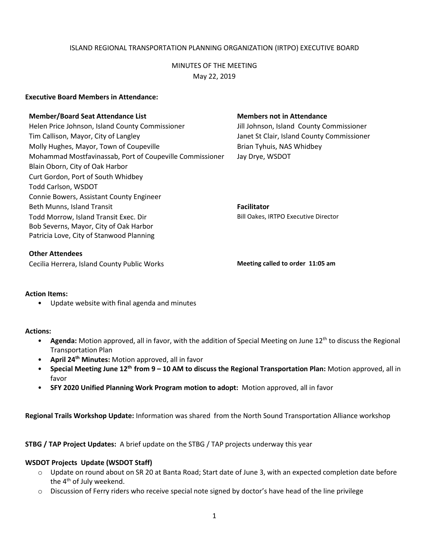# ISLAND REGIONAL TRANSPORTATION PLANNING ORGANIZATION (IRTPO) EXECUTIVE BOARD

# MINUTES OF THE MEETING May 22, 2019

### **Executive Board Members in Attendance:**

#### **Member/Board Seat Attendance List Members not in Attendance**

Helen Price Johnson, Island County Commissioner Jill Johnson, Island County Commissioner Tim Callison, Mayor, City of Langley Janet St Clair, Island County Commissioner Molly Hughes, Mayor, Town of Coupeville **Brian Tyhuis, NAS Whidbey** Mohammad Mostfavinassab, Port of Coupeville Commissioner Jay Drye, WSDOT Blain Oborn, City of Oak Harbor Curt Gordon, Port of South Whidbey Todd Carlson, WSDOT Connie Bowers, Assistant County Engineer Beth Munns, Island Transit **Facilitator Facilitator** Todd Morrow, Island Transit Exec. Dir Bob Severns, Mayor, City of Oak Harbor Patricia Love, City of Stanwood Planning

### **Other Attendees**

Cecilia Herrera, Island County Public Works **Meeting called to order 11:05 am**

#### **Action Items:**

• Update website with final agenda and minutes

#### **Actions:**

- Agenda: Motion approved, all in favor, with the addition of Special Meeting on June 12<sup>th</sup> to discuss the Regional Transportation Plan
- **April 24th Minutes:** Motion approved, all in favor
- **Special Meeting June 12th from 9 – 10 AM to discuss the Regional Transportation Plan:** Motion approved, all in favor
- **SFY 2020 Unified Planning Work Program motion to adopt:** Motion approved, all in favor

**Regional Trails Workshop Update:** Information was shared from the North Sound Transportation Alliance workshop

**STBG / TAP Project Updates:** A brief update on the STBG / TAP projects underway this year

# **WSDOT Projects Update (WSDOT Staff)**

- o Update on round about on SR 20 at Banta Road; Start date of June 3, with an expected completion date before the  $4<sup>th</sup>$  of July weekend.
- o Discussion of Ferry riders who receive special note signed by doctor's have head of the line privilege

Bill Oakes, IRTPO Executive Director